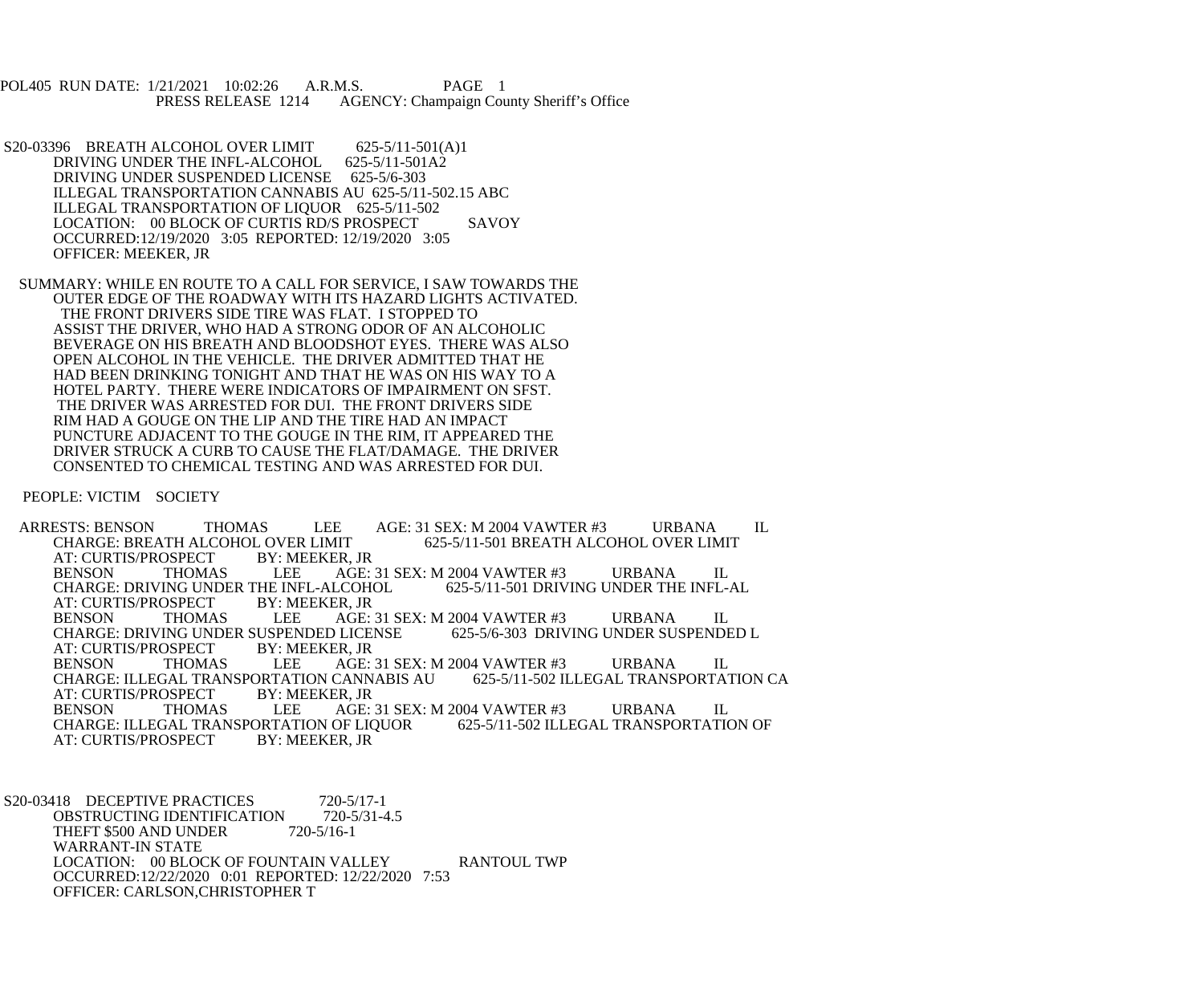POL405 RUN DATE: 1/21/2021 10:02:26 A.R.M.S. PAGE 1<br>PRESS RELEASE 1214 AGENCY: Champaign Cou AGENCY: Champaign County Sheriff's Office

S20-03396 BREATH ALCOHOL OVER LIMIT 625-5/11-501(A)1<br>DRIVING UNDER THE INFL-ALCOHOL 625-5/11-501A2 DRIVING UNDER THE INFL-ALCOHOL DRIVING UNDER SUSPENDED LICENSE 625-5/6-303 ILLEGAL TRANSPORTATION CANNABIS AU 625-5/11-502.15 ABC ILLEGAL TRANSPORTATION OF LIQUOR 625-5/11-502 LOCATION: 00 BLOCK OF CURTIS RD/S PROSPECT SAVOY OCCURRED:12/19/2020 3:05 REPORTED: 12/19/2020 3:05 OFFICER: MEEKER, JR

 SUMMARY: WHILE EN ROUTE TO A CALL FOR SERVICE, I SAW TOWARDS THE OUTER EDGE OF THE ROADWAY WITH ITS HAZARD LIGHTS ACTIVATED. THE FRONT DRIVERS SIDE TIRE WAS FLAT. I STOPPED TO ASSIST THE DRIVER, WHO HAD A STRONG ODOR OF AN ALCOHOLIC BEVERAGE ON HIS BREATH AND BLOODSHOT EYES. THERE WAS ALSO OPEN ALCOHOL IN THE VEHICLE. THE DRIVER ADMITTED THAT HE HAD BEEN DRINKING TONIGHT AND THAT HE WAS ON HIS WAY TO A HOTEL PARTY. THERE WERE INDICATORS OF IMPAIRMENT ON SFST. THE DRIVER WAS ARRESTED FOR DUI. THE FRONT DRIVERS SIDE RIM HAD A GOUGE ON THE LIP AND THE TIRE HAD AN IMPACT PUNCTURE ADJACENT TO THE GOUGE IN THE RIM, IT APPEARED THE DRIVER STRUCK A CURB TO CAUSE THE FLAT/DAMAGE. THE DRIVER CONSENTED TO CHEMICAL TESTING AND WAS ARRESTED FOR DUI.

PEOPLE: VICTIM SOCIETY

ARRESTS: BENSON THOMAS LEE AGE: 31 SEX: M 2004 VAWTER #3 URBANA IL CHARGE: BREATH ALCOHOL OVER LIMIT L OVER LIMIT 625-5/11-501 BREATH ALCOHOL OVER LIMIT BY: MEEKER, JR AT: CURTIS/PROSPECT BY: MI<br>BENSON THOMAS LEE AGE: 31 SEX: M 2004 VAWTER #3 URBANA IL<br>LCOHOL 625-5/11-501 DRIVING UNDER THE INFL-AL CHARGE: DRIVING UNDER THE INFL-ALCOHOL<br>AT: CURTIS/PROSPECT BY: MEEKER. JR AT: CURTIS/PROSPECT BENSON THOMAS LEE AGE: 31 SEX: M 2004 VAWTER #3 URBANA IL CHARGE: DRIVING UNDER SUSPENDED L CHARGE: DRIVING UNDER SUSPENDED LICENSE<br>AT: CURTIS/PROSPECT BY: MEEKER, JR AT: CURTIS/PROSPECT BY: MI<br>BENSON THOMAS LEE AGE: 31 SEX: M 2004 VAWTER #3 URBANA IL<br>CANNABIS AU 625-5/11-502 ILLEGAL TRANSPORTATION CA CHARGE: ILLEGAL TRANSPORTATION CANNABIS AU<br>AT: CURTIS/PROSPECT BY: MEEKER, JR AT: CURTIS/PROSPECT BY: MI<br>BENSON THOMAS LEE AGE: 31 SEX: M 2004 VAWTER #3 URBANA IL<br>OF LIQUOR 625-5/11-502 ILLEGAL TRANSPORTATION OF CHARGE: ILLEGAL TRANSPORTATION OF LIQUOR<br>AT: CURTIS/PROSPECT BY: MEEKER. JR AT: CURTIS/PROSPECT

S20-03418 DECEPTIVE PRACTICES 720-5/17-1<br>OBSTRUCTING IDENTIFICATION 720-5/31-4.5 OBSTRUCTING IDENTIFICATION THEFT \$500 AND UNDER 720-5/16-1 WARRANT-IN STATE LOCATION: 00 BLOCK OF FOUNTAIN VALLEY RANTOUL TWP OCCURRED:12/22/2020 0:01 REPORTED: 12/22/2020 7:53 OFFICER: CARLSON,CHRISTOPHER T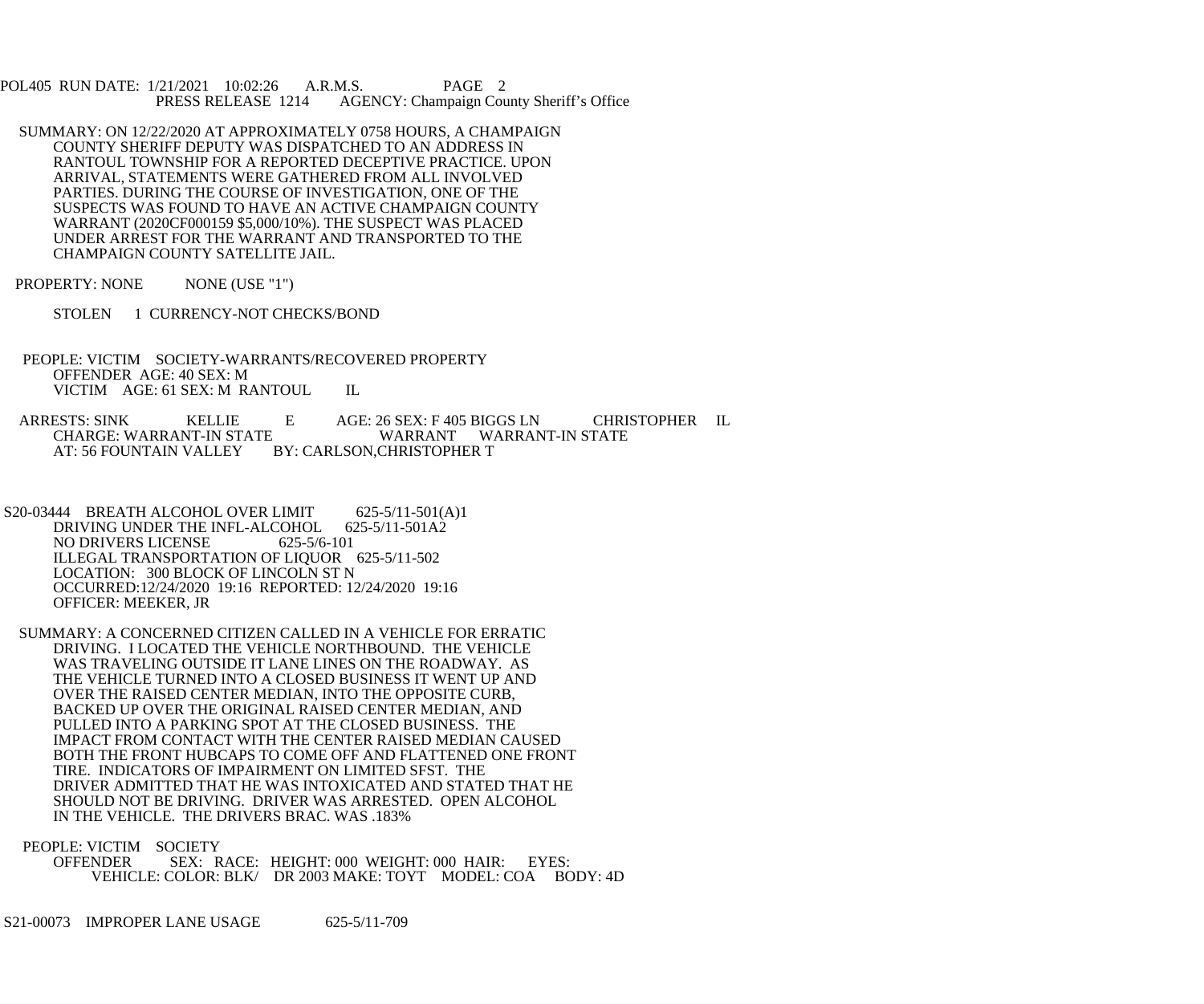POL405 RUN DATE: 1/21/2021 10:02:26 A.R.M.S. PAGE 2<br>PRESS RELEASE 1214 AGENCY: Champaign Cou AGENCY: Champaign County Sheriff's Office

- SUMMARY: ON 12/22/2020 AT APPROXIMATELY 0758 HOURS, A CHAMPAIGN COUNTY SHERIFF DEPUTY WAS DISPATCHED TO AN ADDRESS IN RANTOUL TOWNSHIP FOR A REPORTED DECEPTIVE PRACTICE. UPON ARRIVAL, STATEMENTS WERE GATHERED FROM ALL INVOLVED PARTIES. DURING THE COURSE OF INVESTIGATION, ONE OF THE SUSPECTS WAS FOUND TO HAVE AN ACTIVE CHAMPAIGN COUNTY WARRANT (2020CF000159 \$5,000/10%). THE SUSPECT WAS PLACED UNDER ARREST FOR THE WARRANT AND TRANSPORTED TO THE CHAMPAIGN COUNTY SATELLITE JAIL.
- PROPERTY: NONE NONE (USE "1")
	- STOLEN 1 CURRENCY-NOT CHECKS/BOND
- PEOPLE: VICTIM SOCIETY-WARRANTS/RECOVERED PROPERTY OFFENDER AGE: 40 SEX: M VICTIM AGE: 61 SEX: M RANTOUL IL
- ARRESTS: SINK KELLIE E AGE: 26 SEX: F 405 BIGGS LN CHRISTOPHER IL CHARGE: WARRANT-IN STATE WARRANT WARRANT-IN STATE<br>AT: 56 FOUNTAIN VALLEY BY: CARLSON.CHRISTOPHER T BY: CARLSON, CHRISTOPHER T
- S20-03444 BREATH ALCOHOL OVER LIMIT 625-5/11-501(A)1<br>DRIVING UNDER THE INFL-ALCOHOL 625-5/11-501A2 DRIVING UNDER THE INFL-ALCOHOL 625-5/6-101 NO DRIVERS LICENSE ILLEGAL TRANSPORTATION OF LIQUOR 625-5/11-502 LOCATION: 300 BLOCK OF LINCOLN ST N OCCURRED:12/24/2020 19:16 REPORTED: 12/24/2020 19:16 OFFICER: MEEKER, JR
- SUMMARY: A CONCERNED CITIZEN CALLED IN A VEHICLE FOR ERRATIC DRIVING. I LOCATED THE VEHICLE NORTHBOUND. THE VEHICLE WAS TRAVELING OUTSIDE IT LANE LINES ON THE ROADWAY. AS THE VEHICLE TURNED INTO A CLOSED BUSINESS IT WENT UP AND OVER THE RAISED CENTER MEDIAN, INTO THE OPPOSITE CURB, BACKED UP OVER THE ORIGINAL RAISED CENTER MEDIAN, AND PULLED INTO A PARKING SPOT AT THE CLOSED BUSINESS. THE IMPACT FROM CONTACT WITH THE CENTER RAISED MEDIAN CAUSED BOTH THE FRONT HUBCAPS TO COME OFF AND FLATTENED ONE FRONT TIRE. INDICATORS OF IMPAIRMENT ON LIMITED SFST. THE DRIVER ADMITTED THAT HE WAS INTOXICATED AND STATED THAT HE SHOULD NOT BE DRIVING. DRIVER WAS ARRESTED. OPEN ALCOHOL IN THE VEHICLE. THE DRIVERS BRAC. WAS .183%
- PEOPLE: VICTIM SOCIETY OFFENDER SEX: RACE: HEIGHT: 000 WEIGHT: 000 HAIR: EYES: VEHICLE: COLOR: BLK/ DR 2003 MAKE: TOYT MODEL: COA BODY: 4D

S21-00073 IMPROPER LANE USAGE 625-5/11-709